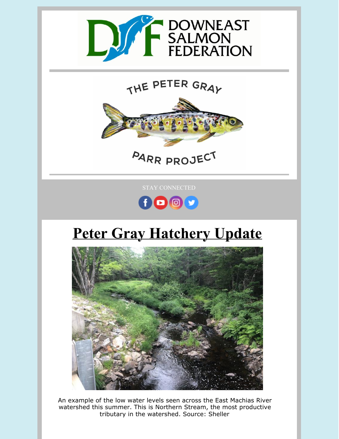

## THE PETER GRAY



STAY CONNECTED



## **Peter Gray Hatchery Update**



An example of the low water levels seen across the East Machias River watershed this summer. This is Northern Stream, the most productive tributary in the watershed. Source: Sheller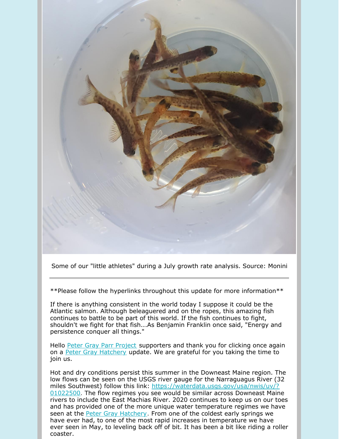

Some of our "little athletes" during a July growth rate analysis. Source: Monini

\*\*Please follow the hyperlinks throughout this update for more information\*\*

If there is anything consistent in the world today I suppose it could be the Atlantic salmon. Although beleaguered and on the ropes, this amazing fish continues to battle to be part of this world. If the fish continues to fight, shouldn't we fight for that fish...As Benjamin Franklin once said, "Energy and persistence conquer all things."

Hello Peter Gray Parr [Project](https://mainesalmonrivers.org/parr-project/peter-gray-parr-project/) supporters and thank you for clicking once again on a Peter Gray [Hatchery](https://mainesalmonrivers.org/parr-project/peter-gray-parr-project/) update. We are grateful for you taking the time to join us.

Hot and dry conditions persist this summer in the Downeast Maine region. The low flows can be seen on the USGS river gauge for the Narraguagus River (32 miles Southwest) follow this link: [https://waterdata.usgs.gov/usa/nwis/uv/?](https://waterdata.usgs.gov/usa/nwis/uv/?01022500) 01022500. The flow regimes you see would be similar across Downeast Maine rivers to include the East Machias River. 2020 continues to keep us on our toes and has provided one of the more unique water temperature regimes we have seen at the Peter Gray [Hatchery](https://mainesalmonrivers.org/parr-project/peter-gray-parr-project/). From one of the coldest early springs we have ever had, to one of the most rapid increases in temperature we have ever seen in May, to leveling back off of bit. It has been a bit like riding a roller coaster.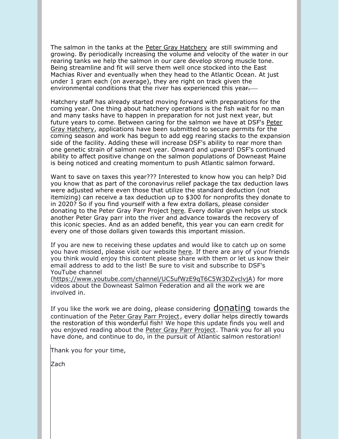The salmon in the tanks at the [Peter Gray Hatchery](https://mainesalmonrivers.org/parr-project/peter-gray-parr-project/) are still swimming and growing. By periodically increasing the volume and velocity of the water in our rearing tanks we help the salmon in our care develop strong muscle tone. Being streamline and fit will serve them well once stocked into the East Machias River and eventually when they head to the Atlantic Ocean. At just under 1 gram each (on average), they are right on track given the [environmental conditions that the river has experienced this year.](https://mainesalmonrivers.org/parr-project/peter-gray-parr-project/)

Hatchery staff has already started moving forward with preparations for the coming year. One thing about hatchery operations is the fish wait for no man and many tasks have to happen in preparation for not just next year, but future years to come. Between caring for the salmon we have at [DSF](https://mainesalmonrivers.org/)'s Peter Gray Hatchery, applications have been submitted to secure permits for the coming season and work has begun to add egg rearing stacks to the expansion side of the facility. Adding these will increase DSF's ability to rear more than one genetic strain of salmon next year. Onward and upward! DSF's continued ability to affect positive change on the salmon populations of Downeast Maine is being noticed and creating momentum to push Atlantic salmon forward.

Want to save on taxes this year??? Interested to know how you can help? Did you know that as part of the coronavirus relief package the tax deduction laws were adjusted where even those that utilize the standard deduction (not itemizing) can receive a tax deduction up to \$300 for nonprofits they donate to in 2020? So if you find yourself with a few extra dollars, please consider donating to the Peter Gray Parr Project [here.](https://mainesalmonrivers.z2systems.com/np/clients/mainesalmonrivers/donation.jsp?campaign=2&) Every dollar given helps us stock another Peter Gray parr into the river and advance towards the recovery of this iconic species. And as an added benefit, this year you can earn credit for every one of those dollars given towards this important mission.

If you are new to receiving these updates and would like to catch up on some you have missed, please visit our website [here](https://mainesalmonrivers.org/parr-project/peter-gray-hatchery-report/). If there are any of your friends you think would enjoy this content please share with them or let us know their email address to add to the list! Be sure to visit and subscribe to DSF's YouTube channel

[\(https://www.youtube.com/channel/UC5ufWzE9qT6C5W3DZvclvjA](https://www.youtube.com/channel/UC5ufWzE9qT6C5W3DZvclvjA)) for more videos about the Downeast Salmon Federation and all the work we are involved in.

If you like the work we are doing, please considering **[donating](https://mainesalmonrivers.org/parr-project/donate-to-the-peter-gray-parr-project/)** towards the continuation of the [Peter Gray Parr Project](https://mainesalmonrivers.org/parr-project/donate-to-the-peter-gray-parr-project/), every dollar helps directly towards the restoration of this wonderful fish! We hope this update finds you well and you enjoyed reading about the [Peter Gray Parr Project](https://mainesalmonrivers.org/parr-project/peter-gray-parr-project/). Thank you for all you have done, and continue to do, in the pursuit of Atlantic salmon restoration!

Thank you for your time,

Zach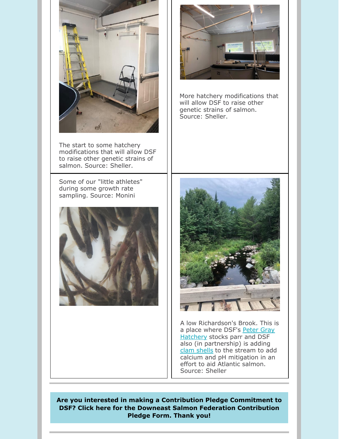

The start to some hatchery modifications that will allow DSF to raise other genetic strains of salmon. Source: Sheller.

Some of our "little athletes" during some growth rate sampling. Source: Monini





More hatchery modifications that will allow DSF to raise other genetic strains of salmon. Source: Sheller.



A low Richardson's Brook. This is [a place where DSF's Peter Gray](https://mainesalmonrivers.org/parr-project/peter-gray-parr-project/) Hatchery stocks parr and DSF also (in partnership) is adding [clam shells](https://mainesalmonrivers.org/field-work/clam-shells/) to the stream to add calcium and pH mitigation in an effort to aid Atlantic salmon. Source: Sheller

**[Are you interested in making a Contribution Pledge Commitment to](https://files.constantcontact.com/6c7a16d6501/5fc13ada-9396-4b48-81a1-cd7f30f9ee0c.docx) DSF? Click here for the Downeast Salmon Federation Contribution Pledge Form. Thank you!**